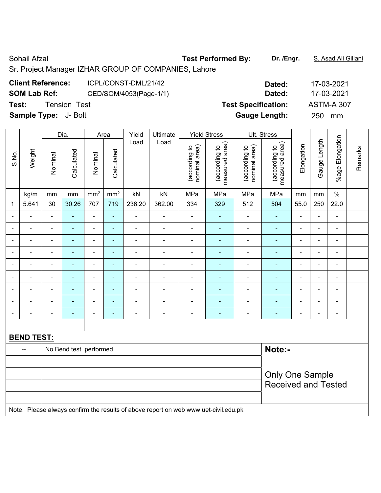Sr. Project Manager IZHAR GROUP OF COMPANIES, Lahore

| <b>Client Reference:</b> | ICPL/CONST-DML/21/42 |
|--------------------------|----------------------|
|                          |                      |

**SOM Lab Ref:** CED/SOM/4053(Page-1/1) **Dated:** 17-03-2021

**Test:** Tension Test **Test Specification:** ASTM-A 307

**Sample Type:** J- Bolt **Gauge Length:** 250 mm

|                          |                                                                                     |                            | Dia.                   | Area           |                 | Yield                    | Ultimate                     | <b>Yield Stress</b>            |                                 |                                | Ult. Stress                                 |                |                              |                              |         |
|--------------------------|-------------------------------------------------------------------------------------|----------------------------|------------------------|----------------|-----------------|--------------------------|------------------------------|--------------------------------|---------------------------------|--------------------------------|---------------------------------------------|----------------|------------------------------|------------------------------|---------|
| S.No.                    | Weight                                                                              | Nominal                    | Calculated             | Nominal        | Calculated      | Load                     | Load                         | nominal area)<br>(according to | measured area)<br>(according to | nominal area)<br>(according to | (according to<br>measured area)<br>measured | Elongation     | Gauge Length                 | %age Elongation              | Remarks |
|                          | kg/m                                                                                | mm                         | mm                     | $\rm mm^2$     | mm <sup>2</sup> | kN                       | kN                           | MPa                            | MPa                             | MPa                            | MPa                                         | mm             | mm                           | $\frac{1}{2}$                |         |
| $\mathbf 1$              | 5.641                                                                               | 30                         | 30.26                  | 707            | 719             | 236.20                   | 362.00                       | 334                            | 329                             | 512                            | 504                                         | 55.0           | 250                          | 22.0                         |         |
| $\blacksquare$           |                                                                                     | $\blacksquare$             | $\blacksquare$         | $\frac{1}{2}$  | $\blacksquare$  | $\blacksquare$           | $\blacksquare$               | $\blacksquare$                 | ÷,                              | $\blacksquare$                 | $\blacksquare$                              | $\blacksquare$ | $\blacksquare$               | $\blacksquare$               |         |
|                          |                                                                                     | $\blacksquare$             | ÷                      |                | ۰               | ÷                        | ÷,                           | $\blacksquare$                 | ÷                               | ÷,                             | $\blacksquare$                              | $\blacksquare$ | $\blacksquare$               | $\blacksquare$               |         |
|                          |                                                                                     | $\blacksquare$             |                        |                | ۰               |                          | ÷                            | -                              |                                 | ÷                              | $\blacksquare$                              | $\overline{a}$ | $\blacksquare$               | -                            |         |
| $\overline{\phantom{0}}$ |                                                                                     | $\blacksquare$             | $\blacksquare$         | -              | ۰               |                          | $\overline{\phantom{a}}$     | ä,                             | $\blacksquare$                  | ä,                             | $\blacksquare$                              | $\overline{a}$ | $\blacksquare$               | $\overline{\phantom{a}}$     |         |
| $\blacksquare$           |                                                                                     | $\blacksquare$             | $\blacksquare$         | $\blacksquare$ | ÷,              | $\overline{\phantom{a}}$ | $\blacksquare$               | $\blacksquare$                 | $\blacksquare$                  | $\blacksquare$                 | $\blacksquare$                              | $\blacksquare$ | $\qquad \qquad \blacksquare$ | $\overline{\phantom{a}}$     |         |
| $\blacksquare$           | $\blacksquare$                                                                      | $\blacksquare$             | ÷                      | $\blacksquare$ | $\blacksquare$  | $\blacksquare$           | $\qquad \qquad \blacksquare$ | ä,                             | $\blacksquare$                  | $\blacksquare$                 | $\blacksquare$                              | $\blacksquare$ | $\blacksquare$               | $\qquad \qquad \blacksquare$ |         |
| $\blacksquare$           |                                                                                     | $\blacksquare$             | ÷                      | ÷,             | ۰               | $\blacksquare$           | $\blacksquare$               | $\overline{a}$                 | $\blacksquare$                  | $\blacksquare$                 | $\blacksquare$                              | $\blacksquare$ | $\overline{\phantom{a}}$     | $\overline{\phantom{a}}$     |         |
|                          |                                                                                     |                            | $\blacksquare$         | ÷              | $\blacksquare$  | $\overline{\phantom{a}}$ | $\overline{\phantom{0}}$     | $\blacksquare$                 | $\blacksquare$                  | $\blacksquare$                 | $\blacksquare$                              | $\blacksquare$ | $\blacksquare$               | $\blacksquare$               |         |
|                          | $\blacksquare$                                                                      | $\blacksquare$             | $\blacksquare$         | ÷,             | ۰               | ÷                        | ä,                           | Ē,                             | ۰                               | ä,                             | ÷,                                          | $\blacksquare$ | $\blacksquare$               | $\overline{\phantom{a}}$     |         |
|                          |                                                                                     |                            |                        |                |                 |                          |                              |                                |                                 |                                |                                             |                |                              |                              |         |
|                          | <b>BEND TEST:</b>                                                                   |                            |                        |                |                 |                          |                              |                                |                                 |                                |                                             |                |                              |                              |         |
|                          | $\overline{a}$                                                                      |                            | No Bend test performed |                |                 |                          |                              |                                |                                 |                                | Note:-                                      |                |                              |                              |         |
|                          |                                                                                     |                            |                        |                |                 |                          |                              |                                |                                 |                                |                                             |                |                              |                              |         |
|                          |                                                                                     | <b>Only One Sample</b>     |                        |                |                 |                          |                              |                                |                                 |                                |                                             |                |                              |                              |         |
|                          |                                                                                     | <b>Received and Tested</b> |                        |                |                 |                          |                              |                                |                                 |                                |                                             |                |                              |                              |         |
|                          |                                                                                     |                            |                        |                |                 |                          |                              |                                |                                 |                                |                                             |                |                              |                              |         |
|                          | Note: Please always confirm the results of above report on web www.uet-civil.edu.pk |                            |                        |                |                 |                          |                              |                                |                                 |                                |                                             |                |                              |                              |         |

**Client Reference:** ICPL/CONST-DML/21/42 **Dated:** 17-03-2021

Sohail Afzal **Test Performed By:** Dr. /Engr. **S. Asad Ali Gillani** Sohail Afzal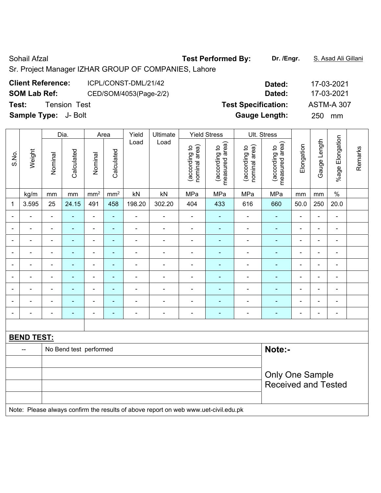Sohail Afzal **Test Performed By:** Dr. /Engr. **S. Asad Ali Gillani** Sohail Afzal Sr. Project Manager IZHAR GROUP OF COMPANIES, Lahore

| <b>Client Reference:</b> | ICPL/CONST-DML/21/42 |
|--------------------------|----------------------|

**SOM Lab Ref:** CED/SOM/4053(Page-2/2) **Dated:** 17-03-2021

**Test:** Tension Test **Test Specification:** ASTM-A 307

**Sample Type:** J- Bolt **Gauge Length:** 250 mm

|                |                   |                        | Dia.                     | Area            |                 | Yield                        | Ultimate                                                                            | <b>Yield Stress</b>            |                                 |                                | Ult. Stress                     |                |                |                              |         |
|----------------|-------------------|------------------------|--------------------------|-----------------|-----------------|------------------------------|-------------------------------------------------------------------------------------|--------------------------------|---------------------------------|--------------------------------|---------------------------------|----------------|----------------|------------------------------|---------|
| S.No.          | Weight            | Nominal                | Calculated               | Nominal         | Calculated      | Load                         | Load                                                                                | nominal area)<br>(according to | measured area)<br>(according to | nominal area)<br>(according to | measured area)<br>(according to | Elongation     | Gauge Length   | %age Elongation              | Remarks |
|                | kg/m              | mm                     | mm                       | mm <sup>2</sup> | mm <sup>2</sup> | kN                           | kN                                                                                  | MPa                            | MPa                             | MPa                            | MPa                             | mm             | mm             | $\%$                         |         |
| 1              | 3.595             | 25                     | 24.15                    | 491             | 458             | 198.20                       | 302.20                                                                              | 404                            | 433                             | 616                            | 660                             | 50.0           | 250            | 20.0                         |         |
|                |                   | ä,                     | $\blacksquare$           | ä,              | $\blacksquare$  | $\qquad \qquad \blacksquare$ | $\blacksquare$                                                                      | $\blacksquare$                 | ä,                              | $\blacksquare$                 | ÷,                              | ÷,             | ä,             | ä,                           |         |
|                |                   | L,                     | ÷                        | ÷               | $\blacksquare$  | $\blacksquare$               | $\overline{\phantom{a}}$                                                            | $\blacksquare$                 | ÷,                              | Ē,                             | $\blacksquare$                  | $\blacksquare$ |                | $\blacksquare$               |         |
| $\blacksquare$ |                   | $\blacksquare$         | $\overline{\phantom{0}}$ | $\overline{a}$  | $\blacksquare$  | $\qquad \qquad \blacksquare$ | $\overline{\phantom{a}}$                                                            | $\blacksquare$                 | $\qquad \qquad \blacksquare$    | $\blacksquare$                 | $\blacksquare$                  | $\blacksquare$ | $\blacksquare$ | $\qquad \qquad \blacksquare$ |         |
| $\blacksquare$ |                   | $\blacksquare$         | $\blacksquare$           | ÷               | $\blacksquare$  | $\blacksquare$               | $\overline{\phantom{a}}$                                                            | $\qquad \qquad \blacksquare$   | ٠                               | $\overline{\phantom{a}}$       | ٠                               | $\blacksquare$ | $\blacksquare$ | $\blacksquare$               |         |
| $\blacksquare$ | ۰                 | ä,                     | ٠                        | ÷,              | ÷               | $\blacksquare$               | $\overline{\phantom{a}}$                                                            | $\blacksquare$                 | ÷                               | Ē,                             | ٠                               | $\blacksquare$ | $\blacksquare$ | $\blacksquare$               |         |
| ÷              |                   | $\blacksquare$         | $\blacksquare$           | $\blacksquare$  | $\blacksquare$  | $\blacksquare$               | $\overline{\phantom{a}}$                                                            | $\blacksquare$                 | ÷                               | $\blacksquare$                 | $\blacksquare$                  | $\blacksquare$ | $\blacksquare$ | $\blacksquare$               |         |
|                |                   | $\overline{a}$         | ۰                        | $\blacksquare$  | $\blacksquare$  |                              | ÷                                                                                   | $\blacksquare$                 |                                 | ۰                              | $\blacksquare$                  |                | $\equiv$       | $\blacksquare$               |         |
|                |                   |                        |                          | $\blacksquare$  |                 |                              | ÷                                                                                   | $\blacksquare$                 |                                 | Ē,                             | $\blacksquare$                  |                |                | $\blacksquare$               |         |
| $\blacksquare$ |                   | Ē,                     | ÷                        | ÷               | $\blacksquare$  | ۰                            | $\overline{\phantom{a}}$                                                            | $\blacksquare$                 | ٠                               | $\overline{\phantom{a}}$       | ÷                               | $\blacksquare$ | $\blacksquare$ | $\blacksquare$               |         |
|                |                   |                        |                          |                 |                 |                              |                                                                                     |                                |                                 |                                |                                 |                |                |                              |         |
|                | <b>BEND TEST:</b> |                        |                          |                 |                 |                              |                                                                                     |                                |                                 |                                |                                 |                |                |                              |         |
|                | --                |                        | No Bend test performed   |                 |                 |                              |                                                                                     |                                |                                 |                                | Note:-                          |                |                |                              |         |
|                |                   |                        |                          |                 |                 |                              |                                                                                     |                                |                                 |                                |                                 |                |                |                              |         |
|                |                   | <b>Only One Sample</b> |                          |                 |                 |                              |                                                                                     |                                |                                 |                                |                                 |                |                |                              |         |
|                |                   |                        |                          |                 |                 |                              |                                                                                     |                                |                                 |                                | <b>Received and Tested</b>      |                |                |                              |         |
|                |                   |                        |                          |                 |                 |                              |                                                                                     |                                |                                 |                                |                                 |                |                |                              |         |
|                |                   |                        |                          |                 |                 |                              | Note: Please always confirm the results of above report on web www.uet-civil.edu.pk |                                |                                 |                                |                                 |                |                |                              |         |

**Client Reference:** ICPL/CONST-DML/21/42 **Dated:** 17-03-2021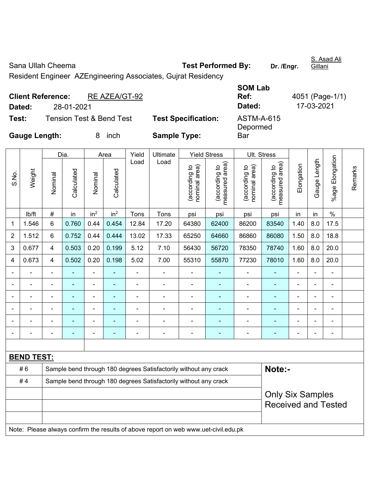Sana Ullah Cheema **Test Performed By:** Dr. /Engr.

S. Asad Ali Gillani

Resident Engineer AZEngineering Associates, Gujrat Residency

| <b>Client Reference:</b><br>RE AZEA/GT-92    |                            | <b>SOM Lab</b><br>Ref: | 4051 (Page-1/1) |
|----------------------------------------------|----------------------------|------------------------|-----------------|
| 28-01-2021<br>Dated:                         |                            | Dated:                 | 17-03-2021      |
| <b>Tension Test &amp; Bend Test</b><br>Test: | <b>Test Specification:</b> | ASTM-A-615<br>Depormed |                 |
| <b>Gauge Length:</b><br>inch<br>8.           | <b>Sample Type:</b>        | Bar                    |                 |

|                |                                                                                     |                                                                  | Dia.           |                          | Area            | Yield          | Ultimate                                                         |                                | <b>Yield Stress</b>             | Ult. Stress                    |                                 |                |                |                          |         |
|----------------|-------------------------------------------------------------------------------------|------------------------------------------------------------------|----------------|--------------------------|-----------------|----------------|------------------------------------------------------------------|--------------------------------|---------------------------------|--------------------------------|---------------------------------|----------------|----------------|--------------------------|---------|
| S.No.          | Weight                                                                              | Nominal                                                          | Calculated     | Nominal                  | Calculated      | Load           | Load                                                             | (according to<br>nominal area) | measured area)<br>(according to | (according to<br>nominal area) | measured area)<br>(according to | Elongation     | Gauge Length   | %age Elongation          | Remarks |
|                | lb/ft                                                                               | $\#$                                                             | in             | in <sup>2</sup>          | in <sup>2</sup> | Tons           | Tons                                                             | psi                            | psi                             | psi                            | psi                             | in             | in             | $\%$                     |         |
| 1              | 1.546                                                                               | 6                                                                | 0.760          | 0.44                     | 0.454           | 12.84          | 17.20                                                            | 64380                          | 62400                           | 86200                          | 83540                           | 1.40           | 8.0            | 17.5                     |         |
| $\overline{2}$ | 1.512                                                                               | 6                                                                | 0.752          | 0.44                     | 0.444           | 13.02          | 17.33                                                            | 65250                          | 64660                           | 86860                          | 86080                           | 1.50           | 8.0            | 18.8                     |         |
| 3              | 0.677                                                                               | 4                                                                | 0.503          | 0.20                     | 0.199           | 5.12           | 7.10                                                             | 56430                          | 56720                           | 78350                          | 78740                           | 1.60           | 8.0            | 20.0                     |         |
| 4              | 0.673                                                                               | 4                                                                | 0.502          | 0.20                     | 0.198           | 5.02           | 7.00                                                             | 55310                          | 55870                           | 77230                          | 78010                           | 1.60           | 8.0            | 20.0                     |         |
|                | ä,                                                                                  | $\blacksquare$                                                   | ÷,             | $\blacksquare$           |                 | $\blacksquare$ | ä,                                                               | ä,                             | ÷                               | ÷,                             | ÷,                              | ä,             | ä,             | ä,                       |         |
|                |                                                                                     | ä,                                                               | $\blacksquare$ | $\overline{a}$           | $\blacksquare$  | L,             | $\blacksquare$                                                   | $\blacksquare$                 | $\blacksquare$                  | ÷                              | $\blacksquare$                  | -              | ÷,             | $\blacksquare$           |         |
|                |                                                                                     |                                                                  |                |                          |                 |                | $\overline{\phantom{0}}$                                         | $\blacksquare$                 | $\blacksquare$                  | $\blacksquare$                 | Ē,                              |                |                |                          |         |
|                |                                                                                     |                                                                  |                |                          |                 |                |                                                                  | $\blacksquare$                 |                                 | ۰                              |                                 |                | ÷              |                          |         |
|                |                                                                                     |                                                                  |                |                          |                 |                |                                                                  | $\blacksquare$                 |                                 | ۰                              |                                 |                |                |                          |         |
| $\blacksquare$ |                                                                                     | -                                                                | $\blacksquare$ | $\overline{\phantom{0}}$ | ٠               | ٠              | $\blacksquare$                                                   | $\blacksquare$                 | ۰                               | $\overline{a}$                 | ۳                               | $\blacksquare$ | $\overline{a}$ | $\overline{\phantom{0}}$ |         |
|                |                                                                                     |                                                                  |                |                          |                 |                |                                                                  |                                |                                 |                                |                                 |                |                |                          |         |
|                | <b>BEND TEST:</b>                                                                   |                                                                  |                |                          |                 |                |                                                                  |                                |                                 |                                |                                 |                |                |                          |         |
|                | #6                                                                                  |                                                                  |                |                          |                 |                | Sample bend through 180 degrees Satisfactorily without any crack |                                |                                 |                                | Note:-                          |                |                |                          |         |
|                | #4                                                                                  | Sample bend through 180 degrees Satisfactorily without any crack |                |                          |                 |                |                                                                  |                                |                                 |                                |                                 |                |                |                          |         |
|                |                                                                                     |                                                                  |                |                          |                 |                |                                                                  |                                |                                 |                                | <b>Only Six Samples</b>         |                |                |                          |         |
|                |                                                                                     |                                                                  |                |                          |                 |                |                                                                  |                                |                                 |                                | <b>Received and Tested</b>      |                |                |                          |         |
|                |                                                                                     |                                                                  |                |                          |                 |                |                                                                  |                                |                                 |                                |                                 |                |                |                          |         |
|                | Note: Please always confirm the results of above report on web www.uet-civil.edu.pk |                                                                  |                |                          |                 |                |                                                                  |                                |                                 |                                |                                 |                |                |                          |         |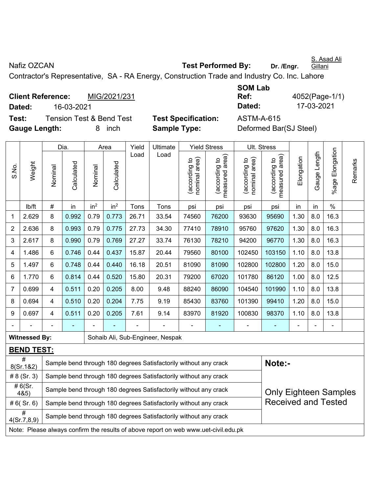S. Asad Ali **Gillani** 

Nafiz OZCAN **Nafiz OZCAN Test Performed By:** Dr. /Engr.

Contractor's Representative, SA - RA Energy, Construction Trade and Industry Co. Inc. Lahore

**Client Reference:** MIG/2021/231 **Dated:** 16-03-2021 **Dated:** 17-03-2021 **Test:** Tension Test & Bend Test **Test Specification:** ASTM-A-615 **Gauge Length:** 8 inch **Sample Type:** Deformed Bar(SJ Steel)

**SOM Lab Ref:** 4052(Page-1/1)

|                         |                                                                                                            |                                                                                                  | Dia.                                                                                                  |                 | Area            | Yield                                                                      | Ultimate                                                         |                                | <b>Yield Stress</b>                         | Ult. Stress                    |                                             |            |              |                    |         |
|-------------------------|------------------------------------------------------------------------------------------------------------|--------------------------------------------------------------------------------------------------|-------------------------------------------------------------------------------------------------------|-----------------|-----------------|----------------------------------------------------------------------------|------------------------------------------------------------------|--------------------------------|---------------------------------------------|--------------------------------|---------------------------------------------|------------|--------------|--------------------|---------|
| S.No.                   | Weight                                                                                                     | Nominal                                                                                          | Calculated                                                                                            | Nominal         | Calculated      | Load                                                                       | Load                                                             | nominal area)<br>(according to | (according to<br>neasured area)<br>measured | nominal area)<br>(according to | (according to<br>neasured area)<br>measured | Elongation | Gauge Length | Elongation<br>%age | Remarks |
|                         | lb/ft                                                                                                      | #                                                                                                | in                                                                                                    | in <sup>2</sup> | in <sup>2</sup> | Tons                                                                       | Tons                                                             | psi                            | psi                                         | psi                            | psi                                         | in         | in           | $\%$               |         |
| 1                       | 2.629                                                                                                      | 8                                                                                                | 0.992                                                                                                 | 0.79            | 0.773           | 26.71                                                                      | 1.30<br>16.3<br>33.54<br>74560<br>76200<br>93630<br>95690<br>8.0 |                                |                                             |                                |                                             |            |              |                    |         |
| $\overline{2}$          | 2.636                                                                                                      | 8                                                                                                | 0.993                                                                                                 | 0.79            | 0.775           | 1.30<br>27.73<br>34.30<br>77410<br>78910<br>95760<br>97620<br>8.0<br>16.3  |                                                                  |                                |                                             |                                |                                             |            |              |                    |         |
| 3                       | 2.617                                                                                                      | 8                                                                                                | 1.30<br>0.990<br>0.79<br>0.769<br>27.27<br>33.74<br>76130<br>78210<br>94200<br>96770<br>8.0<br>16.3   |                 |                 |                                                                            |                                                                  |                                |                                             |                                |                                             |            |              |                    |         |
| $\overline{\mathbf{4}}$ | 1.486                                                                                                      | $6\phantom{1}$                                                                                   | 0.437<br>0.746<br>0.44<br>15.87<br>20.44<br>80100<br>102450<br>103150<br>1.10<br>8.0<br>13.8<br>79560 |                 |                 |                                                                            |                                                                  |                                |                                             |                                |                                             |            |              |                    |         |
| 5                       | 1.497                                                                                                      | 6                                                                                                | 0.748                                                                                                 | 0.44            | 0.440           | 16.18                                                                      | 20.51                                                            | 81090                          | 81090                                       | 102800                         | 102800                                      | 1.20       | 8.0          | 15.0               |         |
| 6                       | 1.770                                                                                                      | $6\phantom{1}$                                                                                   | 0.814                                                                                                 | 0.44            | 0.520           | 15.80<br>20.31<br>79200<br>67020<br>101780<br>86120<br>1.00<br>12.5<br>8.0 |                                                                  |                                |                                             |                                |                                             |            |              |                    |         |
| $\overline{7}$          | 0.699                                                                                                      | 4                                                                                                | 0.511                                                                                                 | 0.20            | 0.205           | 8.00                                                                       | 9.48                                                             | 88240                          | 86090                                       | 104540                         | 101990                                      | 1.10       | 8.0          | 13.8               |         |
| 8                       | 0.694                                                                                                      | 4                                                                                                | 0.510                                                                                                 | 0.20            | 0.204           | 7.75                                                                       | 9.19                                                             | 85430                          | 83760                                       | 101390                         | 99410                                       | 1.20       | 8.0          | 15.0               |         |
| $9\,$                   | 0.697                                                                                                      | $\overline{4}$                                                                                   | 0.511                                                                                                 | 0.20            | 0.205           | 7.61                                                                       | 9.14                                                             | 83970                          | 81920                                       | 100830                         | 98370                                       | 1.10       | 8.0          | 13.8               |         |
|                         |                                                                                                            |                                                                                                  |                                                                                                       |                 |                 |                                                                            |                                                                  |                                |                                             |                                |                                             |            |              |                    |         |
|                         | <b>Witnessed By:</b>                                                                                       |                                                                                                  |                                                                                                       |                 |                 |                                                                            | Sohaib Ali, Sub-Engineer, Nespak                                 |                                |                                             |                                |                                             |            |              |                    |         |
|                         | <b>BEND TEST:</b>                                                                                          |                                                                                                  |                                                                                                       |                 |                 |                                                                            |                                                                  |                                |                                             |                                |                                             |            |              |                    |         |
|                         | $\overline{\#}$<br>8(Sr.1&2)                                                                               |                                                                                                  |                                                                                                       |                 |                 |                                                                            | Sample bend through 180 degrees Satisfactorily without any crack |                                |                                             |                                | Note:-                                      |            |              |                    |         |
|                         | # $8$ (Sr. 3)                                                                                              |                                                                                                  |                                                                                                       |                 |                 |                                                                            | Sample bend through 180 degrees Satisfactorily without any crack |                                |                                             |                                |                                             |            |              |                    |         |
|                         | # $6(Sr.$<br>4&5)                                                                                          | Sample bend through 180 degrees Satisfactorily without any crack<br><b>Only Eighteen Samples</b> |                                                                                                       |                 |                 |                                                                            |                                                                  |                                |                                             |                                |                                             |            |              |                    |         |
|                         | <b>Received and Tested</b><br>#6(Sr.6)<br>Sample bend through 180 degrees Satisfactorily without any crack |                                                                                                  |                                                                                                       |                 |                 |                                                                            |                                                                  |                                |                                             |                                |                                             |            |              |                    |         |
|                         | #<br>Sample bend through 180 degrees Satisfactorily without any crack<br>4(Sr.7, 8, 9)                     |                                                                                                  |                                                                                                       |                 |                 |                                                                            |                                                                  |                                |                                             |                                |                                             |            |              |                    |         |
|                         | Note: Please always confirm the results of above report on web www.uet-civil.edu.pk                        |                                                                                                  |                                                                                                       |                 |                 |                                                                            |                                                                  |                                |                                             |                                |                                             |            |              |                    |         |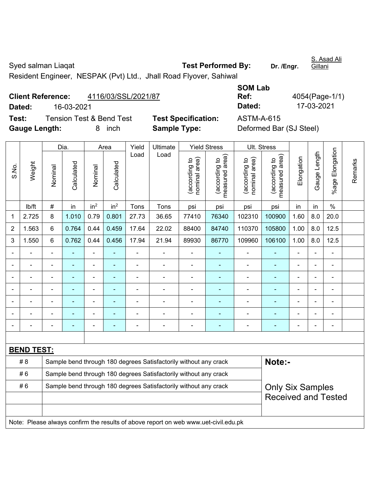Syed salman Liaqat **Test Performed By:** Dr. /Engr. S. Asad Ali **Gillani** Resident Engineer, NESPAK (Pvt) Ltd., Jhall Road Flyover, Sahiwal

|        | <b>Client Reference:</b><br>4116/03/SSL/2021/87 |                            | Ref:       | 4054(Page-1/ |
|--------|-------------------------------------------------|----------------------------|------------|--------------|
| Dated: | 16-03-2021                                      |                            | Dated:     | 17-03-2021   |
| Test:  | <b>Tension Test &amp; Bend Test</b>             | <b>Test Specification:</b> | ASTM-A-615 |              |
|        |                                                 |                            |            |              |

| <b>SOM Lab</b> |                |
|----------------|----------------|
| Ref:           | 4054(Page-1/1) |
| Dated:         | 17-03-2021     |
| ASTM-A-615     |                |

**Test: Specification: Gauge Length:** 8 inch **Sample Type:** Deformed Bar (SJ Steel)

|                          |                   |                                                                  | Dia.           |                 | Area            | Yield                    | Ultimate                                                         |                                | <b>Yield Stress</b>             | Ult. Stress                    |                                             |                |                |                           |         |
|--------------------------|-------------------|------------------------------------------------------------------|----------------|-----------------|-----------------|--------------------------|------------------------------------------------------------------|--------------------------------|---------------------------------|--------------------------------|---------------------------------------------|----------------|----------------|---------------------------|---------|
| S.No.                    | Weight            | Nominal                                                          | Calculated     | Nominal         | Calculated      | Load                     | Load                                                             | nominal area)<br>(according to | measured area)<br>(according to | nominal area)<br>(according to | (according to<br>neasured area)<br>measured | Elongation     | Gauge Length   | Elongation<br>$%$ age $ $ | Remarks |
|                          | lb/ft             | $\#$                                                             | in             | in <sup>2</sup> | in <sup>2</sup> | Tons                     | Tons                                                             | psi                            | psi                             | psi                            | psi                                         | in             | in             | $\%$                      |         |
| $\mathbf{1}$             | 2.725             | 8                                                                | 1.010          | 0.79            | 0.801           | 27.73                    | 36.65                                                            | 77410                          | 76340                           | 102310                         | 100900                                      | 1.60           | 8.0            | 20.0                      |         |
| $\boldsymbol{2}$         | 1.563             | $6\phantom{1}$                                                   | 0.764          | 0.44            | 0.459           | 17.64                    | 22.02                                                            | 88400                          | 84740                           | 110370                         | 105800                                      | 1.00           | 8.0            | 12.5                      |         |
| 3                        | 1.550             | $6\phantom{1}$                                                   | 0.762          | 0.44            | 0.456           | 17.94                    | 21.94                                                            | 89930                          | 86770                           | 109960                         | 106100                                      | 1.00           | 8.0            | 12.5                      |         |
| $\blacksquare$           | ÷                 | ä,                                                               | $\overline{a}$ | $\blacksquare$  | ÷.              | L,                       |                                                                  | $\blacksquare$                 | $\blacksquare$                  | $\blacksquare$                 | $\blacksquare$                              | $\blacksquare$ | L.             | $\blacksquare$            |         |
|                          |                   |                                                                  |                |                 |                 |                          |                                                                  |                                |                                 |                                |                                             |                |                |                           |         |
|                          |                   | $\blacksquare$                                                   |                |                 |                 | ٠                        |                                                                  |                                |                                 | ٠                              |                                             | $\blacksquare$ |                |                           |         |
| $\overline{\phantom{a}}$ | ÷                 | $\blacksquare$                                                   | $\blacksquare$ | $\blacksquare$  | ٠               | $\blacksquare$           |                                                                  | $\blacksquare$                 | $\blacksquare$                  | $\blacksquare$                 | ۰                                           | $\blacksquare$ | ä,             | $\blacksquare$            |         |
|                          |                   | $\overline{\phantom{0}}$                                         | ۰              | $\blacksquare$  | ۰               | $\overline{\phantom{a}}$ |                                                                  |                                |                                 | $\blacksquare$                 |                                             | $\blacksquare$ | $\blacksquare$ | $\blacksquare$            |         |
|                          |                   |                                                                  |                |                 | ä,              |                          |                                                                  |                                |                                 |                                | ÷                                           |                |                |                           |         |
|                          |                   |                                                                  |                |                 |                 |                          |                                                                  |                                |                                 |                                |                                             |                | $\blacksquare$ | $\overline{a}$            |         |
|                          |                   |                                                                  |                |                 |                 |                          |                                                                  |                                |                                 |                                |                                             |                |                |                           |         |
|                          | <b>BEND TEST:</b> |                                                                  |                |                 |                 |                          |                                                                  |                                |                                 |                                |                                             |                |                |                           |         |
|                          | # 8               |                                                                  |                |                 |                 |                          | Sample bend through 180 degrees Satisfactorily without any crack |                                |                                 |                                | Note:-                                      |                |                |                           |         |
|                          | #6                | Sample bend through 180 degrees Satisfactorily without any crack |                |                 |                 |                          |                                                                  |                                |                                 |                                |                                             |                |                |                           |         |
|                          | #6                |                                                                  |                |                 |                 |                          | Sample bend through 180 degrees Satisfactorily without any crack |                                |                                 |                                | <b>Only Six Samples</b>                     |                |                |                           |         |
|                          |                   |                                                                  |                |                 |                 |                          |                                                                  |                                |                                 |                                | <b>Received and Tested</b>                  |                |                |                           |         |
|                          |                   |                                                                  |                |                 |                 |                          |                                                                  |                                |                                 |                                |                                             |                |                |                           |         |
|                          |                   |                                                                  |                |                 |                 |                          |                                                                  |                                |                                 |                                |                                             |                |                |                           |         |

Note: Please always confirm the results of above report on web www.uet-civil.edu.pk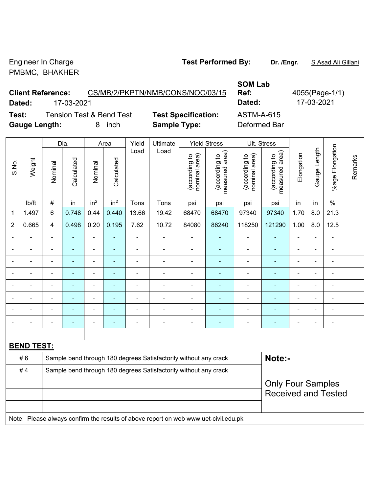Engineer In Charge **Test Performed By:** Dr. /Engr. **SAsad Ali Gillani** Collection Archives **Test Performed By:** Dr. /Engr. **SAsad Ali Gillani** PMBMC, BHAKHER

**SOM Lab** 

**Ref:** 4055(Page-1/1)

**Client Reference:** CS/MB/2/PKPTN/NMB/CONS/NOC/03/15 **Dated:** 17-03-2021 **Dated:** 17-03-2021 **Test:** Tension Test & Bend Test **Test Specification:** ASTM-A-615

 $\top$ 

**Gauge Length:** 8 inch **Sample Type:** Deformed Bar

 $\overline{\phantom{a}}$ 

 $\mathbf{\tau}$ 

 $\overline{\phantom{a}}$ 

|                |                                                                                     |                          | Dia.           |                          | Area            | Yield          | Ultimate                                                         |                                | <b>Yield Stress</b>             | Ult. Stress                    |                                             |                          |                |                          |         |
|----------------|-------------------------------------------------------------------------------------|--------------------------|----------------|--------------------------|-----------------|----------------|------------------------------------------------------------------|--------------------------------|---------------------------------|--------------------------------|---------------------------------------------|--------------------------|----------------|--------------------------|---------|
| S.No.          | Weight                                                                              | Nominal                  | Calculated     | Nominal                  | Calculated      | Load           | Load                                                             | nominal area)<br>(according to | (according to<br>measured area) | (according to<br>nominal area) | (according to<br>neasured area)<br>measured | Elongation               | Gauge Length   | Elongation<br>$%$ age    | Remarks |
|                | lb/ft                                                                               | $\#$                     | in             | in <sup>2</sup>          | in <sup>2</sup> | Tons           | Tons                                                             | psi                            | psi                             | psi                            | psi                                         | in                       | in             | $\%$                     |         |
| 1              | 1.497                                                                               | 6                        | 0.748          | 0.44                     | 0.440           | 13.66          | 19.42                                                            | 68470                          | 68470                           | 97340                          | 97340                                       | 1.70                     | 8.0            | 21.3                     |         |
| $\overline{2}$ | 0.665                                                                               | $\overline{4}$           | 0.498          | 0.20                     | 0.195           | 7.62           | 10.72                                                            | 84080                          | 86240                           | 118250                         | 121290                                      | 1.00                     | 8.0            | 12.5                     |         |
|                |                                                                                     | ä,                       | $\blacksquare$ | $\blacksquare$           |                 | ÷,             | ÷                                                                | $\blacksquare$                 | ÷                               | $\blacksquare$                 |                                             | $\blacksquare$           |                | $\blacksquare$           |         |
|                |                                                                                     |                          | $\blacksquare$ | $\blacksquare$           |                 |                | ä,                                                               | $\blacksquare$                 | $\blacksquare$                  | $\blacksquare$                 |                                             | $\blacksquare$           |                |                          |         |
|                |                                                                                     |                          |                | ÷                        |                 |                | $\blacksquare$                                                   |                                |                                 |                                |                                             |                          |                | $\overline{\phantom{0}}$ |         |
|                |                                                                                     | $\blacksquare$           | Ē,             | $\blacksquare$           | ÷,              | $\blacksquare$ | $\blacksquare$                                                   | $\blacksquare$                 | ٠                               | $\blacksquare$                 |                                             | $\blacksquare$           | ÷.             | $\blacksquare$           |         |
|                |                                                                                     | $\blacksquare$           | $\blacksquare$ | $\overline{\phantom{0}}$ | ۰               | $\overline{a}$ | $\blacksquare$                                                   | $\overline{\phantom{a}}$       | ۰                               | $\qquad \qquad \blacksquare$   | ۰                                           | $\overline{\phantom{a}}$ | $\overline{a}$ | $\blacksquare$           |         |
|                |                                                                                     | Ē,                       | $\blacksquare$ | $\blacksquare$           | ۰               | $\blacksquare$ | $\blacksquare$                                                   | $\blacksquare$                 | ٠                               | $\blacksquare$                 | ÷                                           | Ē,                       | $\blacksquare$ | $\overline{a}$           |         |
|                |                                                                                     |                          |                |                          |                 |                | $\blacksquare$                                                   |                                |                                 |                                |                                             |                          |                |                          |         |
|                |                                                                                     |                          |                | $\blacksquare$           | $\blacksquare$  | $\blacksquare$ | $\blacksquare$                                                   | $\blacksquare$                 | ٠                               | $\blacksquare$                 | ۰                                           | $\blacksquare$           | $\blacksquare$ | $\blacksquare$           |         |
|                |                                                                                     |                          |                |                          |                 |                |                                                                  |                                |                                 |                                |                                             |                          |                |                          |         |
|                | <b>BEND TEST:</b>                                                                   |                          |                |                          |                 |                |                                                                  |                                |                                 |                                |                                             |                          |                |                          |         |
|                | #6                                                                                  |                          |                |                          |                 |                | Sample bend through 180 degrees Satisfactorily without any crack |                                |                                 |                                | Note:-                                      |                          |                |                          |         |
|                | #4                                                                                  |                          |                |                          |                 |                | Sample bend through 180 degrees Satisfactorily without any crack |                                |                                 |                                |                                             |                          |                |                          |         |
|                |                                                                                     | <b>Only Four Samples</b> |                |                          |                 |                |                                                                  |                                |                                 |                                |                                             |                          |                |                          |         |
|                |                                                                                     |                          |                |                          |                 |                |                                                                  |                                |                                 |                                | <b>Received and Tested</b>                  |                          |                |                          |         |
|                |                                                                                     |                          |                |                          |                 |                |                                                                  |                                |                                 |                                |                                             |                          |                |                          |         |
|                | Note: Please always confirm the results of above report on web www.uet-civil.edu.pk |                          |                |                          |                 |                |                                                                  |                                |                                 |                                |                                             |                          |                |                          |         |

 $\top$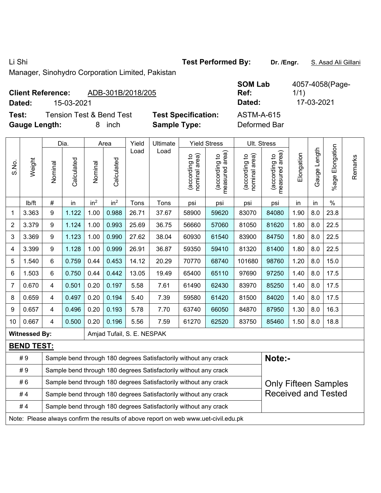Li Shi **Test Performed By: Dr. /Engr.** S. Asad Ali Gillani

Manager, Sinohydro Corporation Limited, Pakistan

## **Client Reference:** ADB-301B/2018/205

**Dated:** 15-03-2021 **Dated:** 17-03-2021

**Test:** Tension Test & Bend Test **Test Specification: Gauge Length:** 8 inch **Sample Type:** Deformed Bar

| <b>SOM Lab</b>    | 4057-4058(Page- |
|-------------------|-----------------|
| Ref:              | 1/1)            |
| Dated:            | 17-03-2021      |
| <b>ASTM-A-615</b> |                 |

|                |                                                                        |                                                                                                 | Dia.       |                 | Area            | Yield                      | Ultimate                                                                            |                                | <b>Yield Stress</b>             |                                | Ult. Stress                                 |            |              |                       |         |
|----------------|------------------------------------------------------------------------|-------------------------------------------------------------------------------------------------|------------|-----------------|-----------------|----------------------------|-------------------------------------------------------------------------------------|--------------------------------|---------------------------------|--------------------------------|---------------------------------------------|------------|--------------|-----------------------|---------|
| S.No.          | Weight                                                                 | Nominal                                                                                         | Calculated | Nominal         | Calculated      | Load                       | Load                                                                                | nominal area)<br>(according to | (according to<br>measured area) | (according to<br>nominal area) | (according to<br>measured area)<br>measured | Elongation | Gauge Length | Elongation<br>$%$ age | Remarks |
|                | lb/ft                                                                  | #                                                                                               | in         | in <sup>2</sup> | in <sup>2</sup> | Tons                       | Tons                                                                                | psi                            | psi                             | psi                            | psi                                         | in         | in           | $\%$                  |         |
| 1              | 3.363                                                                  | 9                                                                                               | 1.122      | 1.00            | 0.988           | 26.71                      | 37.67                                                                               | 58900                          | 59620                           | 83070                          | 84080                                       | 1.90       | 8.0          | 23.8                  |         |
| $\overline{2}$ | 3.379                                                                  | 9                                                                                               | 1.124      | 1.00            | 0.993           | 25.69                      | 36.75                                                                               | 56660                          | 57060                           | 81050                          | 81620                                       | 1.80       | 8.0          | 22.5                  |         |
| 3              | 3.369                                                                  | 9                                                                                               | 1.123      | 1.00            | 0.990           | 27.62                      | 38.04                                                                               | 60930                          | 61540                           | 83900                          | 84750                                       | 1.80       | 8.0          | 22.5                  |         |
| 4              | 3.399                                                                  | 9                                                                                               | 1.128      | 1.00            | 0.999           | 26.91                      | 36.87                                                                               | 59350                          | 59410                           | 81320                          | 81400                                       | 1.80       | 8.0          | 22.5                  |         |
| 5              | 1.540                                                                  | $6\phantom{a}$                                                                                  | 0.759      | 0.44            | 0.453           | 14.12                      | 20.29                                                                               | 70770                          | 68740                           | 101680                         | 98760                                       | 1.20       | 8.0          | 15.0                  |         |
| 6              | 1.503                                                                  | 6                                                                                               | 0.750      | 0.44            | 0.442           | 13.05                      | 19.49                                                                               | 65400                          | 65110                           | 97690                          | 97250                                       | 1.40       | 8.0          | 17.5                  |         |
| $\overline{7}$ | 0.670                                                                  | $\overline{\mathbf{4}}$                                                                         | 0.501      | 0.20            | 0.197           | 5.58                       | 7.61                                                                                | 61490                          | 62430                           | 83970                          | 85250                                       | 1.40       | 8.0          | 17.5                  |         |
| 8              | 0.659                                                                  | $\overline{4}$                                                                                  | 0.497      | 0.20            | 0.194           | 5.40                       | 7.39                                                                                | 59580                          | 61420                           | 81500                          | 84020                                       | 1.40       | 8.0          | 17.5                  |         |
| 9              | 0.657                                                                  | 4                                                                                               | 0.496      | 0.20            | 0.193           | 5.78                       | 7.70                                                                                | 63740                          | 66050                           | 84870                          | 87950                                       | 1.30       | 8.0          | 16.3                  |         |
| 10             | 0.667                                                                  | 4                                                                                               | 0.500      | 0.20            | 0.196           | 5.56                       | 7.59                                                                                | 61270                          | 62520                           | 83750                          | 85460                                       | 1.50       | 8.0          | 18.8                  |         |
|                | <b>Witnessed By:</b>                                                   |                                                                                                 |            |                 |                 | Amjad Tufail, S. E. NESPAK |                                                                                     |                                |                                 |                                |                                             |            |              |                       |         |
|                | <b>BEND TEST:</b>                                                      |                                                                                                 |            |                 |                 |                            |                                                                                     |                                |                                 |                                |                                             |            |              |                       |         |
|                | #9                                                                     |                                                                                                 |            |                 |                 |                            | Sample bend through 180 degrees Satisfactorily without any crack                    |                                |                                 |                                | Note:-                                      |            |              |                       |         |
|                | #9                                                                     |                                                                                                 |            |                 |                 |                            | Sample bend through 180 degrees Satisfactorily without any crack                    |                                |                                 |                                |                                             |            |              |                       |         |
|                | #6                                                                     | Sample bend through 180 degrees Satisfactorily without any crack<br><b>Only Fifteen Samples</b> |            |                 |                 |                            |                                                                                     |                                |                                 |                                |                                             |            |              |                       |         |
|                | #4                                                                     |                                                                                                 |            |                 |                 |                            | Sample bend through 180 degrees Satisfactorily without any crack                    |                                |                                 |                                | <b>Received and Tested</b>                  |            |              |                       |         |
|                | #4<br>Sample bend through 180 degrees Satisfactorily without any crack |                                                                                                 |            |                 |                 |                            |                                                                                     |                                |                                 |                                |                                             |            |              |                       |         |
|                |                                                                        |                                                                                                 |            |                 |                 |                            | Note: Please always confirm the results of above report on web www.uet-civil.edu.pk |                                |                                 |                                |                                             |            |              |                       |         |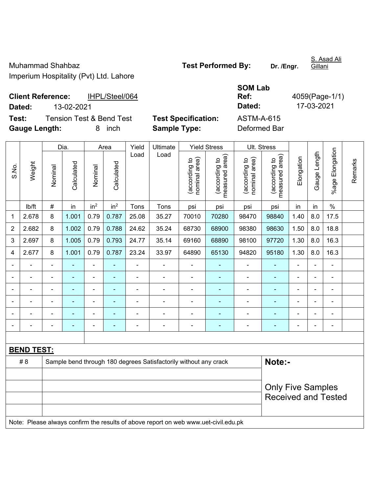S. Asad Ali Gillani

**Client Reference:** IHPL/Steel/064 **Dated:** 13-02-2021 **Dated:** 17-03-2021

**SOM Lab Ref:** 4059(Page-1/1)

**Test:** Tension Test & Bend Test **Test Specification:** ASTM-A-615 **Gauge Length:** 8 inch **Sample Type:** Deformed Bar

|                |                   |                          | Dia.           |                 | Area            |                | Ultimate                                                                            | <b>Yield Stress</b>            |                                 | Ult. Stress                    |                                 |                |                |                 |         |
|----------------|-------------------|--------------------------|----------------|-----------------|-----------------|----------------|-------------------------------------------------------------------------------------|--------------------------------|---------------------------------|--------------------------------|---------------------------------|----------------|----------------|-----------------|---------|
| S.No.          | Weight            | Nominal                  | Calculated     | Nominal         | Calculated      | Load           | Load                                                                                | nominal area)<br>(according to | measured area)<br>(according to | nominal area)<br>(according to | measured area)<br>(according to | Elongation     | Gauge Length   | %age Elongation | Remarks |
|                | lb/ft             | $\#$                     | in             | in <sup>2</sup> | in <sup>2</sup> | Tons           | Tons                                                                                | psi                            | psi                             | psi                            | psi                             | in             | in             | $\%$            |         |
| 1              | 2.678             | 8                        | 1.001          | 0.79            | 0.787           | 25.08          | 35.27                                                                               | 70010                          | 70280                           | 98470                          | 98840                           | 1.40           | 8.0            | 17.5            |         |
| $\overline{2}$ | 2.682             | 8                        | 1.002          | 0.79            | 0.788           | 24.62          | 35.24                                                                               | 68730                          | 68900                           | 98380                          | 98630                           | 1.50           | 8.0            | 18.8            |         |
| 3              | 2.697             | 8                        | 1.005          | 0.79            | 0.793           | 24.77          | 35.14                                                                               | 69160                          | 68890                           | 98100                          | 97720                           | 1.30           | 8.0            | 16.3            |         |
| 4              | 2.677             | 8                        | 1.001          | 0.79            | 0.787           | 23.24          | 33.97                                                                               | 64890                          | 65130                           | 94820                          | 95180                           | 1.30           | 8.0            | 16.3            |         |
|                |                   |                          |                | $\blacksquare$  |                 | ä,             |                                                                                     | $\blacksquare$                 |                                 |                                |                                 |                |                | $\blacksquare$  |         |
|                |                   |                          | $\blacksquare$ | ÷,              |                 | $\blacksquare$ | $\blacksquare$                                                                      | ä,                             | ٠                               | $\blacksquare$                 | $\blacksquare$                  | $\blacksquare$ |                | $\blacksquare$  |         |
| $\blacksquare$ |                   | $\blacksquare$           | ÷              | $\blacksquare$  | ۰               | $\blacksquare$ | $\blacksquare$                                                                      | $\blacksquare$                 | ٠                               | $\blacksquare$                 | $\blacksquare$                  | $\blacksquare$ | $\blacksquare$ | $\blacksquare$  |         |
|                |                   | $\blacksquare$           | $\blacksquare$ | ÷,              | ۰               | ä,             | $\blacksquare$                                                                      | $\blacksquare$                 | ٠                               | $\blacksquare$                 | $\blacksquare$                  | $\blacksquare$ | $\blacksquare$ | ÷,              |         |
|                |                   |                          | $\blacksquare$ | $\blacksquare$  | ÷               | ä,             | $\blacksquare$                                                                      | $\blacksquare$                 | $\blacksquare$                  | $\overline{a}$                 | $\blacksquare$                  | $\blacksquare$ |                | ä,              |         |
|                |                   |                          | $\blacksquare$ | ÷               | ÷               | ä,             | ÷                                                                                   | Ē,                             | ٠                               |                                |                                 | Ē,             |                | $\blacksquare$  |         |
|                |                   |                          |                |                 |                 |                |                                                                                     |                                |                                 |                                |                                 |                |                |                 |         |
|                | <b>BEND TEST:</b> |                          |                |                 |                 |                |                                                                                     |                                |                                 |                                |                                 |                |                |                 |         |
|                | # 8               |                          |                |                 |                 |                | Sample bend through 180 degrees Satisfactorily without any crack                    |                                |                                 |                                | Note:-                          |                |                |                 |         |
|                |                   |                          |                |                 |                 |                |                                                                                     |                                |                                 |                                |                                 |                |                |                 |         |
|                |                   | <b>Only Five Samples</b> |                |                 |                 |                |                                                                                     |                                |                                 |                                |                                 |                |                |                 |         |
|                |                   |                          |                |                 |                 |                |                                                                                     |                                |                                 |                                | <b>Received and Tested</b>      |                |                |                 |         |
|                |                   |                          |                |                 |                 |                |                                                                                     |                                |                                 |                                |                                 |                |                |                 |         |
|                |                   |                          |                |                 |                 |                | Note: Please always confirm the results of above report on web www.uet-civil.edu.pk |                                |                                 |                                |                                 |                |                |                 |         |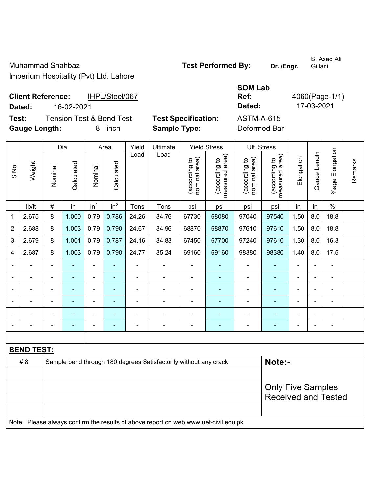S. Asad Ali Gillani

**Client Reference:** IHPL/Steel/067

**SOM Lab Ref:** 4060(Page-1/1)

**Dated:** 16-02-2021 **Dated:** 17-03-2021 **Test:** Tension Test & Bend Test **Test Specification:** ASTM-A-615

**Gauge Length:** 8 inch **Sample Type:** Deformed Bar

|       |                                                                                     |                          | Dia.           |                              | Area                     | Yield                    | Ultimate                                                         |                                | <b>Yield Stress</b>             |                                | Ult. Stress                     |                |              |                 |         |
|-------|-------------------------------------------------------------------------------------|--------------------------|----------------|------------------------------|--------------------------|--------------------------|------------------------------------------------------------------|--------------------------------|---------------------------------|--------------------------------|---------------------------------|----------------|--------------|-----------------|---------|
| S.No. | Weight                                                                              | Nominal                  | Calculated     | Nominal                      | Calculated               | Load                     | Load                                                             | nominal area)<br>(according to | (according to<br>measured area) | nominal area)<br>(according to | measured area)<br>(according to | Elongation     | Gauge Length | %age Elongation | Remarks |
|       | lb/ft                                                                               | $\#$                     | in             | in <sup>2</sup>              | in <sup>2</sup>          | Tons                     | Tons                                                             | psi                            | psi                             | psi                            | psi                             | in             | in           | $\%$            |         |
| 1     | 2.675                                                                               | 8                        | 1.000          | 0.79                         | 0.786                    | 24.26                    | 34.76                                                            | 67730                          | 68080                           | 97040                          | 97540                           | 1.50           | 8.0          | 18.8            |         |
| 2     | 2.688                                                                               | 8                        | 1.003          | 0.79                         | 0.790                    | 24.67                    | 34.96                                                            | 68870                          | 68870                           | 97610                          | 97610                           | 1.50           | 8.0          | 18.8            |         |
| 3     | 2.679                                                                               | 8                        | 1.001          | 0.79                         | 0.787                    | 24.16                    | 34.83                                                            | 67450                          | 67700                           | 97240                          | 97610                           | 1.30           | 8.0          | 16.3            |         |
| 4     | 2.687                                                                               | 8                        | 1.003          | 0.79                         | 0.790                    | 24.77                    | 35.24                                                            | 69160                          | 69160                           | 98380                          | 98380                           | 1.40           | 8.0          | 17.5            |         |
|       |                                                                                     | $\overline{a}$           |                | ä,                           |                          |                          |                                                                  |                                |                                 |                                |                                 |                |              | $\blacksquare$  |         |
|       |                                                                                     |                          | $\blacksquare$ | $\blacksquare$               |                          | ä,                       | $\blacksquare$                                                   | $\blacksquare$                 | ۰                               | $\blacksquare$                 | $\blacksquare$                  | $\blacksquare$ |              | $\blacksquare$  |         |
|       |                                                                                     | $\blacksquare$           | $\blacksquare$ | $\blacksquare$               |                          | $\blacksquare$           | $\blacksquare$                                                   | $\blacksquare$                 | $\blacksquare$                  | ۰                              | $\blacksquare$                  | $\blacksquare$ |              | $\blacksquare$  |         |
|       |                                                                                     | $\blacksquare$           | $\blacksquare$ | $\blacksquare$               |                          | $\blacksquare$           | $\blacksquare$                                                   | $\overline{a}$                 | ۰                               | $\blacksquare$                 | $\blacksquare$                  | ä,             |              | $\blacksquare$  |         |
|       |                                                                                     | $\blacksquare$           | ÷              | $\blacksquare$               |                          | $\overline{\phantom{a}}$ | ä,                                                               | $\overline{\phantom{a}}$       | $\blacksquare$                  | $\blacksquare$                 | $\blacksquare$                  | $\blacksquare$ |              | $\blacksquare$  |         |
|       |                                                                                     | $\blacksquare$           | ÷              | $\qquad \qquad \blacksquare$ | $\overline{\phantom{a}}$ | $\overline{a}$           | ÷                                                                | $\blacksquare$                 | ۰                               | $\blacksquare$                 | $\blacksquare$                  | L,             |              | $\blacksquare$  |         |
|       |                                                                                     |                          |                |                              |                          |                          |                                                                  |                                |                                 |                                |                                 |                |              |                 |         |
|       | <b>BEND TEST:</b>                                                                   |                          |                |                              |                          |                          |                                                                  |                                |                                 |                                |                                 |                |              |                 |         |
|       | # 8                                                                                 |                          |                |                              |                          |                          | Sample bend through 180 degrees Satisfactorily without any crack |                                |                                 |                                | Note:-                          |                |              |                 |         |
|       |                                                                                     |                          |                |                              |                          |                          |                                                                  |                                |                                 |                                |                                 |                |              |                 |         |
|       |                                                                                     | <b>Only Five Samples</b> |                |                              |                          |                          |                                                                  |                                |                                 |                                |                                 |                |              |                 |         |
|       |                                                                                     |                          |                |                              |                          |                          |                                                                  |                                |                                 |                                | <b>Received and Tested</b>      |                |              |                 |         |
|       |                                                                                     |                          |                |                              |                          |                          |                                                                  |                                |                                 |                                |                                 |                |              |                 |         |
|       | Note: Please always confirm the results of above report on web www.uet-civil.edu.pk |                          |                |                              |                          |                          |                                                                  |                                |                                 |                                |                                 |                |              |                 |         |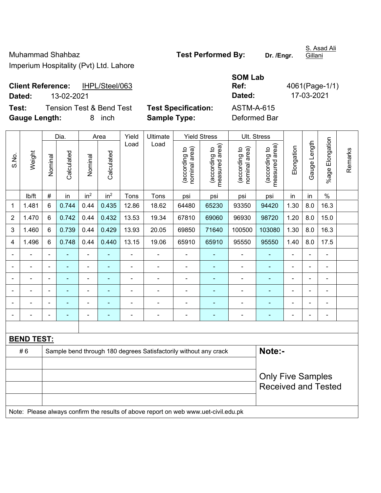**Ref:** 4061(Page-1/1)

S. Asad Ali **Gillani** 

**Client Reference:** IHPL/Steel/063 **Dated:** 13-02-2021 **Dated:** 17-03-2021

**Test:** Tension Test & Bend Test **Test Specification:** ASTM-A-615 **Gauge Length:** 8 inch **Sample Type:** Deformed Bar

**SOM Lab** 

|                |                   |                              | Dia.           |                 | Area            | Yield                    | <b>Ultimate</b>                                                                     |                                | <b>Yield Stress</b>             |                                | Ult. Stress                     |                |                |                           |         |
|----------------|-------------------|------------------------------|----------------|-----------------|-----------------|--------------------------|-------------------------------------------------------------------------------------|--------------------------------|---------------------------------|--------------------------------|---------------------------------|----------------|----------------|---------------------------|---------|
| S.No.          | Weight            | Nominal                      | Calculated     | Nominal         | Calculated      | Load                     | Load                                                                                | nominal area)<br>(according to | (according to<br>measured area) | nominal area)<br>(according to | (according to<br>measured area) | Elongation     | Gauge Length   | Elongation<br>$%$ age $I$ | Remarks |
|                | lb/ft             | $\#$                         | in             | in <sup>2</sup> | in <sup>2</sup> | Tons                     | Tons                                                                                | psi                            | psi                             | psi                            | psi                             | in             | in             | $\%$                      |         |
| 1              | 1.481             | 6                            | 0.744          | 0.44            | 0.435           | 12.86                    | 18.62                                                                               | 64480                          | 65230                           | 93350                          | 94420                           | 1.30           | 8.0            | 16.3                      |         |
| $\overline{2}$ | 1.470             | 6                            | 0.742          | 0.44            | 0.432           | 13.53                    | 19.34                                                                               | 67810                          | 69060                           | 96930                          | 98720                           | 1.20           | 8.0            | 15.0                      |         |
| 3              | 1.460             | 6                            | 0.739          | 0.44            | 0.429           | 13.93                    | 20.05                                                                               | 69850                          | 71640                           | 100500                         | 103080                          | 1.30           | 8.0            | 16.3                      |         |
| 4              | 1.496             | 6                            | 0.748          | 0.44            | 0.440           | 13.15                    | 19.06                                                                               | 65910                          | 65910                           | 95550                          | 95550                           | 1.40           | 8.0            | 17.5                      |         |
| $\blacksquare$ |                   | $\qquad \qquad \blacksquare$ | $\blacksquare$ | $\frac{1}{2}$   | $\blacksquare$  | $\overline{\phantom{a}}$ | $\blacksquare$                                                                      | $\overline{\phantom{a}}$       | $\blacksquare$                  | $\overline{\phantom{a}}$       | ۰                               | $\blacksquare$ | ÷,             | $\blacksquare$            |         |
|                | ÷                 | $\blacksquare$               | $\blacksquare$ | $\frac{1}{2}$   | ٠               | $\blacksquare$           | $\blacksquare$                                                                      | $\blacksquare$                 | ٠                               | $\blacksquare$                 | ٠                               | Ē,             | ä,             | $\blacksquare$            |         |
|                | $\blacksquare$    | $\blacksquare$               | $\blacksquare$ | ÷,              | ٠               | $\blacksquare$           | $\blacksquare$                                                                      | $\blacksquare$                 | ٠                               | $\blacksquare$                 | ٠                               | $\blacksquare$ | Ē,             | $\blacksquare$            |         |
|                |                   | $\blacksquare$               |                | ÷               |                 | $\blacksquare$           |                                                                                     |                                | $\blacksquare$                  | ÷                              |                                 |                |                | ä,                        |         |
|                |                   |                              |                |                 |                 |                          |                                                                                     |                                | -                               |                                | ۰                               |                |                |                           |         |
|                |                   | $\blacksquare$               |                | $\blacksquare$  |                 | $\blacksquare$           | Ē,                                                                                  |                                |                                 |                                | ۰                               |                | $\blacksquare$ | Ē,                        |         |
|                |                   |                              |                |                 |                 |                          |                                                                                     |                                |                                 |                                |                                 |                |                |                           |         |
|                | <b>BEND TEST:</b> |                              |                |                 |                 |                          |                                                                                     |                                |                                 |                                |                                 |                |                |                           |         |
|                | #6                |                              |                |                 |                 |                          | Sample bend through 180 degrees Satisfactorily without any crack                    |                                |                                 |                                | Note:-                          |                |                |                           |         |
|                |                   |                              |                |                 |                 |                          |                                                                                     |                                |                                 |                                |                                 |                |                |                           |         |
|                |                   |                              |                |                 |                 |                          |                                                                                     |                                |                                 |                                | <b>Only Five Samples</b>        |                |                |                           |         |
|                |                   |                              |                |                 |                 |                          |                                                                                     |                                |                                 |                                | <b>Received and Tested</b>      |                |                |                           |         |
|                |                   |                              |                |                 |                 |                          |                                                                                     |                                |                                 |                                |                                 |                |                |                           |         |
|                |                   |                              |                |                 |                 |                          | Note: Please always confirm the results of above report on web www.uet-civil.edu.pk |                                |                                 |                                |                                 |                |                |                           |         |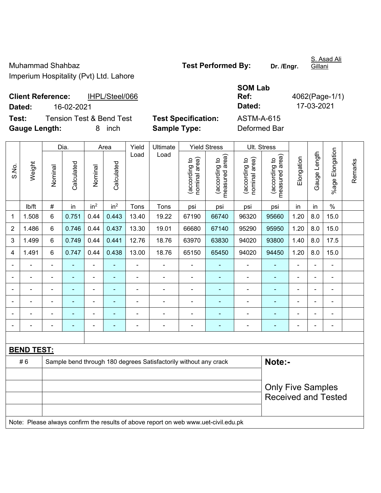S. Asad Ali Gillani

**Client Reference:** IHPL/Steel/066 **Dated:** 16-02-2021 **Dated:** 17-03-2021 **Test:** Tension Test & Bend Test **Test Specification:** ASTM-A-615

**Gauge Length:** 8 inch **Sample Type:** Deformed Bar

**Ref:** 4062(Page-1/1)

|                |                   |                          | Dia.           |                          | Area            |                | Ultimate                                                                            | <b>Yield Stress</b>           |                                 | <b>Ult. Stress</b>             |                                 |                |                |                      |         |
|----------------|-------------------|--------------------------|----------------|--------------------------|-----------------|----------------|-------------------------------------------------------------------------------------|-------------------------------|---------------------------------|--------------------------------|---------------------------------|----------------|----------------|----------------------|---------|
| S.No.          | Weight            | Nominal                  | Calculated     | Nominal                  | Calculated      | Load           | Load                                                                                | nominal area)<br>according to | measured area)<br>(according to | (according to<br>nominal area) | (according to<br>measured area) | Elongation     | Gauge Length   | Elongation<br>%age l | Remarks |
|                | lb/ft             | $\#$                     | in             | in <sup>2</sup>          | in <sup>2</sup> | Tons           | Tons                                                                                | psi                           | psi                             | psi                            | psi                             | in             | in             | $\%$                 |         |
| 1              | 1.508             | 6                        | 0.751          | 0.44                     | 0.443           | 13.40          | 19.22                                                                               | 67190                         | 66740                           | 96320                          | 95660                           | 1.20           | 8.0            | 15.0                 |         |
| $\overline{2}$ | 1.486             | 6                        | 0.746          | 0.44                     | 0.437           | 13.30          | 19.01                                                                               | 66680                         | 67140                           | 95290                          | 95950                           | 1.20           | 8.0            | 15.0                 |         |
| 3              | 1.499             | 6                        | 0.749          | 0.44                     | 0.441           | 12.76          | 18.76                                                                               | 63970                         | 63830                           | 94020                          | 93800                           | 1.40           | 8.0            | 17.5                 |         |
| 4              | 1.491             | 6                        | 0.747          | 0.44                     | 0.438           | 13.00          | 18.76                                                                               | 65150                         | 65450                           | 94020                          | 94450                           | 1.20           | 8.0            | 15.0                 |         |
| $\blacksquare$ | $\blacksquare$    | $\blacksquare$           | $\blacksquare$ | $\overline{\phantom{0}}$ | ۰               | $\blacksquare$ | $\blacksquare$                                                                      | $\blacksquare$                | $\blacksquare$                  | $\blacksquare$                 | ÷,                              | $\blacksquare$ | $\blacksquare$ | $\blacksquare$       |         |
|                |                   | $\blacksquare$           | $\blacksquare$ | ÷,                       | ۰               | $\blacksquare$ | $\blacksquare$                                                                      | $\blacksquare$                | $\blacksquare$                  | $\blacksquare$                 | $\blacksquare$                  | $\blacksquare$ |                | $\blacksquare$       |         |
| $\blacksquare$ |                   | $\blacksquare$           | $\blacksquare$ | $\blacksquare$           | ۰               | $\blacksquare$ | $\blacksquare$                                                                      | ä,                            | ٠                               | $\blacksquare$                 | $\blacksquare$                  | $\blacksquare$ |                | $\blacksquare$       |         |
|                |                   | $\blacksquare$           | ÷              | ÷,                       |                 | $\blacksquare$ | $\blacksquare$                                                                      | $\blacksquare$                |                                 | ÷                              |                                 | $\blacksquare$ |                | $\blacksquare$       |         |
|                |                   |                          |                | $\overline{a}$           |                 |                | $\sim$                                                                              |                               |                                 | ۰                              |                                 |                |                | ۳                    |         |
| $\blacksquare$ |                   |                          |                | $\blacksquare$           |                 | $\blacksquare$ | $\blacksquare$                                                                      | $\blacksquare$                |                                 | ÷,                             | Ē,                              | $\blacksquare$ |                | $\blacksquare$       |         |
|                |                   |                          |                |                          |                 |                |                                                                                     |                               |                                 |                                |                                 |                |                |                      |         |
|                | <b>BEND TEST:</b> |                          |                |                          |                 |                |                                                                                     |                               |                                 |                                |                                 |                |                |                      |         |
|                | #6                |                          |                |                          |                 |                | Sample bend through 180 degrees Satisfactorily without any crack                    |                               |                                 |                                | Note:-                          |                |                |                      |         |
|                |                   |                          |                |                          |                 |                |                                                                                     |                               |                                 |                                |                                 |                |                |                      |         |
|                |                   | <b>Only Five Samples</b> |                |                          |                 |                |                                                                                     |                               |                                 |                                |                                 |                |                |                      |         |
|                |                   |                          |                |                          |                 |                |                                                                                     |                               |                                 | <b>Received and Tested</b>     |                                 |                |                |                      |         |
|                |                   |                          |                |                          |                 |                |                                                                                     |                               |                                 |                                |                                 |                |                |                      |         |
|                |                   |                          |                |                          |                 |                | Note: Please always confirm the results of above report on web www.uet-civil.edu.pk |                               |                                 |                                |                                 |                |                |                      |         |

**SOM Lab**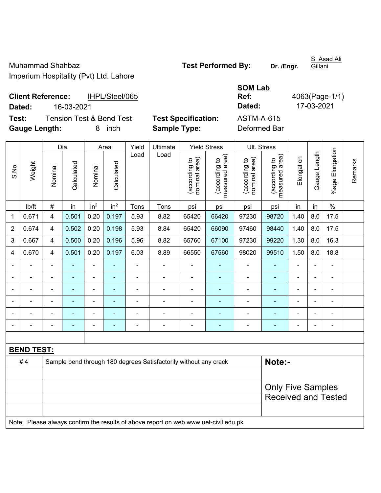S. Asad Ali

**Client Reference:** IHPL/Steel/065

**SOM Lab Ref:** 4063(Page-1/1)

**Dated:** 16-03-2021 **Dated:** 17-03-2021 **Test:** Tension Test & Bend Test **Test Specification:** ASTM-A-615

**Gauge Length:** 8 inch **Sample Type:** Deformed Bar

|                |                   |                          | Dia.           |                 | Area            |                          | Yield<br>Ultimate                                                                   | <b>Yield Stress</b>            |                                 | Ult. Stress                    |                                 |                |                |                 |         |
|----------------|-------------------|--------------------------|----------------|-----------------|-----------------|--------------------------|-------------------------------------------------------------------------------------|--------------------------------|---------------------------------|--------------------------------|---------------------------------|----------------|----------------|-----------------|---------|
| S.No.          | Weight            | Nominal                  | Calculated     | Nominal         | Calculated      | Load                     | Load                                                                                | nominal area)<br>(according to | (according to<br>measured area) | nominal area)<br>(according to | (according to<br>measured area) | Elongation     | Gauge Length   | %age Elongation | Remarks |
|                | lb/ft             | #                        | in             | in <sup>2</sup> | in <sup>2</sup> | Tons                     | Tons                                                                                | psi                            | psi                             | psi                            | psi                             | in             | in             | $\%$            |         |
| 1              | 0.671             | $\overline{4}$           | 0.501          | 0.20            | 0.197           | 5.93                     | 8.82                                                                                | 65420                          | 66420                           | 97230                          | 98720                           | 1.40           | 8.0            | 17.5            |         |
| $\overline{2}$ | 0.674             | $\overline{\mathbf{4}}$  | 0.502          | 0.20            | 0.198           | 5.93                     | 8.84                                                                                | 65420                          | 66090                           | 97460                          | 98440                           | 1.40           | 8.0            | 17.5            |         |
| 3              | 0.667             | $\overline{\mathbf{4}}$  | 0.500          | 0.20            | 0.196           | 5.96                     | 8.82                                                                                | 65760                          | 67100                           | 97230                          | 99220                           | 1.30           | 8.0            | 16.3            |         |
| 4              | 0.670             | $\overline{\mathbf{4}}$  | 0.501          | 0.20            | 0.197           | 6.03                     | 8.89                                                                                | 66550                          | 67560                           | 98020                          | 99510                           | 1.50           | 8.0            | 18.8            |         |
|                |                   |                          |                | $\blacksquare$  |                 | ä,                       | $\blacksquare$                                                                      | $\blacksquare$                 |                                 |                                |                                 |                |                | ä,              |         |
|                |                   |                          | $\blacksquare$ | ÷,              |                 | $\blacksquare$           | $\blacksquare$                                                                      | $\blacksquare$                 | $\blacksquare$                  | $\blacksquare$                 |                                 | $\blacksquare$ |                | $\blacksquare$  |         |
| $\blacksquare$ |                   | $\blacksquare$           | ÷              | ÷,              | ÷               | ä,                       | $\blacksquare$                                                                      | $\blacksquare$                 | $\blacksquare$                  | $\overline{a}$                 | $\blacksquare$                  | $\blacksquare$ | $\blacksquare$ | $\blacksquare$  |         |
|                |                   | $\overline{\phantom{0}}$ | ٠              | ÷,              |                 | $\overline{\phantom{0}}$ | $\blacksquare$                                                                      | $\blacksquare$                 | ۰                               | $\overline{\phantom{0}}$       | $\blacksquare$                  | $\blacksquare$ |                | ÷               |         |
|                |                   | $\blacksquare$           | ä,             | ÷,              | ä,              | L,                       | $\blacksquare$                                                                      | ä,                             | $\blacksquare$                  | $\blacksquare$                 | $\blacksquare$                  | $\blacksquare$ |                | ä,              |         |
|                |                   |                          |                | $\blacksquare$  | ۰               |                          | $\blacksquare$                                                                      | $\blacksquare$                 | $\blacksquare$                  |                                |                                 |                |                | ÷,              |         |
|                |                   |                          |                |                 |                 |                          |                                                                                     |                                |                                 |                                |                                 |                |                |                 |         |
|                | <b>BEND TEST:</b> |                          |                |                 |                 |                          |                                                                                     |                                |                                 |                                |                                 |                |                |                 |         |
|                | #4                |                          |                |                 |                 |                          | Sample bend through 180 degrees Satisfactorily without any crack                    |                                |                                 |                                | Note:-                          |                |                |                 |         |
|                |                   |                          |                |                 |                 |                          |                                                                                     |                                |                                 |                                |                                 |                |                |                 |         |
|                |                   | <b>Only Five Samples</b> |                |                 |                 |                          |                                                                                     |                                |                                 |                                |                                 |                |                |                 |         |
|                |                   |                          |                |                 |                 |                          |                                                                                     |                                |                                 |                                | <b>Received and Tested</b>      |                |                |                 |         |
|                |                   |                          |                |                 |                 |                          |                                                                                     |                                |                                 |                                |                                 |                |                |                 |         |
|                |                   |                          |                |                 |                 |                          | Note: Please always confirm the results of above report on web www.uet-civil.edu.pk |                                |                                 |                                |                                 |                |                |                 |         |

Gillani